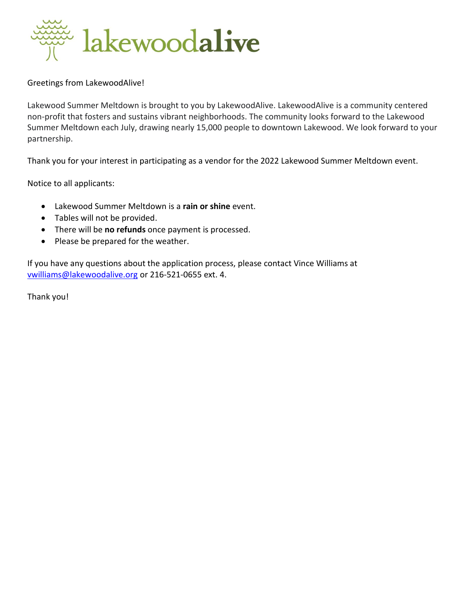

Greetings from LakewoodAlive!

Lakewood Summer Meltdown is brought to you by LakewoodAlive. LakewoodAlive is a community centered non-profit that fosters and sustains vibrant neighborhoods. The community looks forward to the Lakewood Summer Meltdown each July, drawing nearly 15,000 people to downtown Lakewood. We look forward to your partnership.

Thank you for your interest in participating as a vendor for the 2022 Lakewood Summer Meltdown event.

Notice to all applicants:

- Lakewood Summer Meltdown is a **rain or shine** event.
- Tables will not be provided.
- There will be **no refunds** once payment is processed.
- Please be prepared for the weather.

If you have any questions about the application process, please contact Vince Williams at [vwilliams@lakewoodalive.org](mailto:vwilliams@lakewoodalive.org) or 216-521-0655 ext. 4.

Thank you!